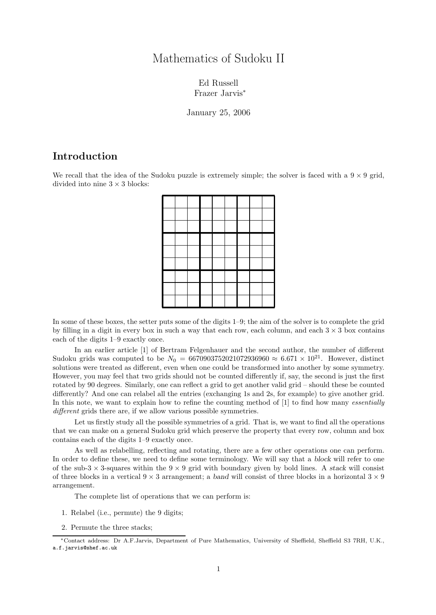## Mathematics of Sudoku II

Ed Russell Frazer Jarvis<sup>∗</sup>

January 25, 2006

## Introduction

We recall that the idea of the Sudoku puzzle is extremely simple; the solver is faced with a  $9 \times 9$  grid, divided into nine  $3 \times 3$  blocks:

In some of these boxes, the setter puts some of the digits 1–9; the aim of the solver is to complete the grid by filling in a digit in every box in such a way that each row, each column, and each  $3 \times 3$  box contains each of the digits 1–9 exactly once.

In an earlier article [1] of Bertram Felgenhauer and the second author, the number of different Sudoku grids was computed to be  $N_0 = 6670903752021072936960 \approx 6.671 \times 10^{21}$ . However, distinct solutions were treated as different, even when one could be transformed into another by some symmetry. However, you may feel that two grids should not be counted differently if, say, the second is just the first rotated by 90 degrees. Similarly, one can reflect a grid to get another valid grid – should these be counted differently? And one can relabel all the entries (exchanging 1s and 2s, for example) to give another grid. In this note, we want to explain how to refine the counting method of [1] to find how many *essentially* different grids there are, if we allow various possible symmetries.

Let us firstly study all the possible symmetries of a grid. That is, we want to find all the operations that we can make on a general Sudoku grid which preserve the property that every row, column and box contains each of the digits 1–9 exactly once.

As well as relabelling, reflecting and rotating, there are a few other operations one can perform. In order to define these, we need to define some terminology. We will say that a block will refer to one of the sub-3  $\times$  3-squares within the 9  $\times$  9 grid with boundary given by bold lines. A stack will consist of three blocks in a vertical  $9 \times 3$  arrangement; a band will consist of three blocks in a horizontal  $3 \times 9$ arrangement.

The complete list of operations that we can perform is:

- 1. Relabel (i.e., permute) the 9 digits;
- 2. Permute the three stacks;

<sup>∗</sup>Contact address: Dr A.F.Jarvis, Department of Pure Mathematics, University of Sheffield, Sheffield S3 7RH, U.K., a.f.jarvis@shef.ac.uk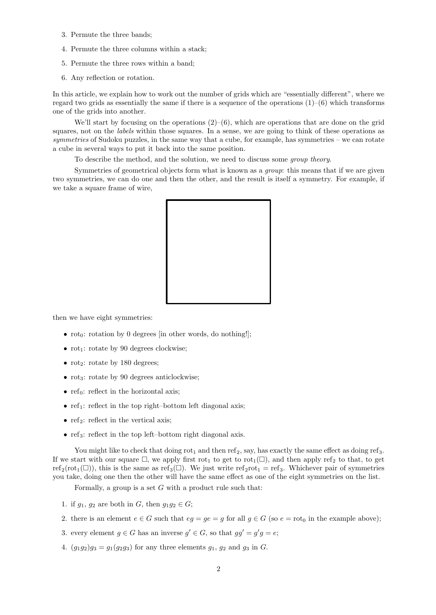- 3. Permute the three bands;
- 4. Permute the three columns within a stack;
- 5. Permute the three rows within a band;
- 6. Any reflection or rotation.

In this article, we explain how to work out the number of grids which are "essentially different", where we regard two grids as essentially the same if there is a sequence of the operations  $(1)-(6)$  which transforms one of the grids into another.

We'll start by focusing on the operations  $(2)-(6)$ , which are operations that are done on the grid squares, not on the *labels* within those squares. In a sense, we are going to think of these operations as symmetries of Sudoku puzzles, in the same way that a cube, for example, has symmetries – we can rotate a cube in several ways to put it back into the same position.

To describe the method, and the solution, we need to discuss some group theory.

Symmetries of geometrical objects form what is known as a group: this means that if we are given two symmetries, we can do one and then the other, and the result is itself a symmetry. For example, if we take a square frame of wire,



then we have eight symmetries:

- rot<sub>0</sub>: rotation by 0 degrees [in other words, do nothing!];
- $rot_1$ : rotate by 90 degrees clockwise;
- rot<sub>2</sub>: rotate by 180 degrees;
- rot<sub>3</sub>: rotate by 90 degrees anticlockwise;
- ref<sub>0</sub>: reflect in the horizontal axis;
- ref<sub>1</sub>: reflect in the top right–bottom left diagonal axis;
- ref<sub>2</sub>: reflect in the vertical axis;
- ref<sub>3</sub>: reflect in the top left–bottom right diagonal axis.

You might like to check that doing  $rot_1$  and then  $ref_2$ , say, has exactly the same effect as doing ref<sub>3</sub>. If we start with our square  $\Box$ , we apply first rot<sub>1</sub> to get to rot<sub>1</sub>( $\Box$ ), and then apply ref<sub>2</sub> to that, to get  $\text{ref}_2(\text{rot}_1(\Box))$ , this is the same as  $\text{ref}_3(\Box)$ . We just write  $\text{ref}_2\text{rot}_1 = \text{ref}_3$ . Whichever pair of symmetries you take, doing one then the other will have the same effect as one of the eight symmetries on the list.

Formally, a group is a set  $G$  with a product rule such that:

- 1. if  $g_1, g_2$  are both in G, then  $g_1g_2 \in G$ ;
- 2. there is an element  $e \in G$  such that  $eg = ge = q$  for all  $g \in G$  (so  $e = \text{rot}_0$  in the example above);
- 3. every element  $g \in G$  has an inverse  $g' \in G$ , so that  $gg' = g'g = e$ ;
- 4.  $(g_1g_2)g_3 = g_1(g_2g_3)$  for any three elements  $g_1, g_2$  and  $g_3$  in G.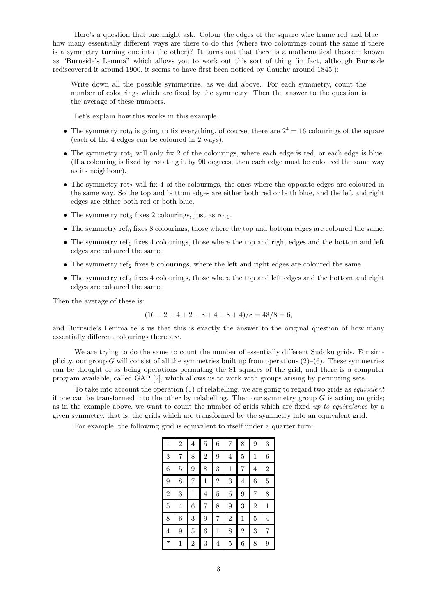Here's a question that one might ask. Colour the edges of the square wire frame red and blue – how many essentially different ways are there to do this (where two colourings count the same if there is a symmetry turning one into the other)? It turns out that there is a mathematical theorem known as "Burnside's Lemma" which allows you to work out this sort of thing (in fact, although Burnside rediscovered it around 1900, it seems to have first been noticed by Cauchy around 1845!):

Write down all the possible symmetries, as we did above. For each symmetry, count the number of colourings which are fixed by the symmetry. Then the answer to the question is the average of these numbers.

Let's explain how this works in this example.

- The symmetry rot<sub>0</sub> is going to fix everything, of course; there are  $2^4 = 16$  colourings of the square (each of the 4 edges can be coloured in 2 ways).
- The symmetry  $rot_1$  will only fix 2 of the colourings, where each edge is red, or each edge is blue. (If a colouring is fixed by rotating it by 90 degrees, then each edge must be coloured the same way as its neighbour).
- The symmetry rot<sub>2</sub> will fix 4 of the colourings, the ones where the opposite edges are coloured in the same way. So the top and bottom edges are either both red or both blue, and the left and right edges are either both red or both blue.
- The symmetry rot<sub>3</sub> fixes 2 colourings, just as rot<sub>1</sub>.
- The symmetry ref<sub>0</sub> fixes 8 colourings, those where the top and bottom edges are coloured the same.
- The symmetry ref<sub>1</sub> fixes 4 colourings, those where the top and right edges and the bottom and left edges are coloured the same.
- The symmetry ref<sub>2</sub> fixes 8 colourings, where the left and right edges are coloured the same.
- The symmetry ref<sub>3</sub> fixes 4 colourings, those where the top and left edges and the bottom and right edges are coloured the same.

Then the average of these is:

$$
(16 + 2 + 4 + 2 + 8 + 4 + 8 + 4)/8 = 48/8 = 6,
$$

and Burnside's Lemma tells us that this is exactly the answer to the original question of how many essentially different colourings there are.

We are trying to do the same to count the number of essentially different Sudoku grids. For simplicity, our group G will consist of all the symmetries built up from operations  $(2)$ – $(6)$ . These symmetries can be thought of as being operations permuting the 81 squares of the grid, and there is a computer program available, called GAP [2], which allows us to work with groups arising by permuting sets.

To take into account the operation (1) of relabelling, we are going to regard two grids as *equivalent* if one can be transformed into the other by relabelling. Then our symmetry group  $G$  is acting on grids; as in the example above, we want to count the number of grids which are fixed up to equivalence by a given symmetry, that is, the grids which are transformed by the symmetry into an equivalent grid.

For example, the following grid is equivalent to itself under a quarter turn:

| $\mathbf 1$    | $\overline{2}$ | 4              | $\overline{5}$ | 6              | 7              | 8              | 9              | 3              |
|----------------|----------------|----------------|----------------|----------------|----------------|----------------|----------------|----------------|
| 3              | 7              | 8              | $\overline{2}$ | 9              | $\overline{4}$ | $\overline{5}$ | $\mathbf 1$    | 6              |
| 6              | $\overline{5}$ | 9              | 8              | 3              | $\mathbf{1}$   | 7              | $\overline{4}$ | $\overline{2}$ |
| 9              | 8              | 7              | $\mathbf{1}$   | $\overline{2}$ | 3              | 4              | 6              | 5              |
| $\overline{2}$ | 3              | $\mathbf{1}$   | $\overline{4}$ | 5              | 6              | 9              | $\overline{7}$ | 8              |
| 5              | $\overline{4}$ | 6              | 7              | 8              | 9              | 3              | $\overline{2}$ | 1              |
| 8              | 6              | 3              | 9              | 7              | $\overline{2}$ | $\mathbf{1}$   | $\overline{5}$ | 4              |
| 4              | 9              | $\overline{5}$ | 6              | $\mathbf{1}$   | 8              | $\overline{2}$ | 3              | $\overline{7}$ |
| 7              | $\mathbf 1$    | $\overline{2}$ | 3              | $\overline{4}$ | $\overline{5}$ | 6              | 8              | 9              |